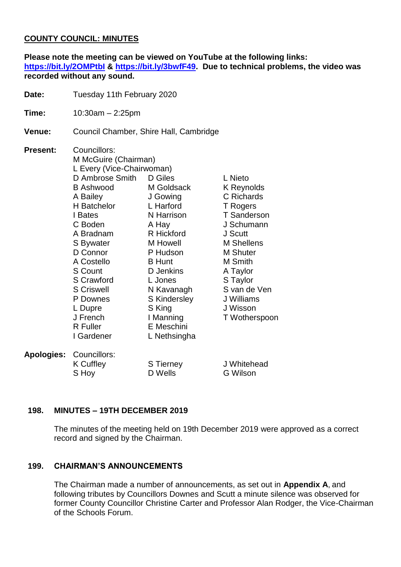## **COUNTY COUNCIL: MINUTES**

**Please note the meeting can be viewed on YouTube at the following links: <https://bit.ly/2OMPtbI> & [https://bit.ly/3bwfF49.](https://bit.ly/3bwfF49) Due to technical problems, the video was recorded without any sound.**

**Date:** Tuesday 11th February 2020

**Time:** 10:30am – 2:25pm

**Venue:** Council Chamber, Shire Hall, Cambridge

**Present:** Councillors: M McGuire (Chairman) L Every (Vice-Chairwoman) D Ambrose Smith B Ashwood A Bailey H Batchelor I Bates C Boden A Bradnam S Bywater D Connor A Costello S Count S Crawford S Criswell P Downes L Dupre J French R Fuller I Gardener D Giles M Goldsack J Gowing L Harford N Harrison A Hay R Hickford M Howell P Hudson B Hunt D Jenkins L Jones N Kavanagh S Kindersley S King I Manning E Meschini L Nethsingha L Nieto K Reynolds C Richards T Rogers T Sanderson J Schumann J Scutt M Shellens M Shuter M Smith A Taylor S Taylor S van de Ven J Williams J Wisson T Wotherspoon **Apologies:** Councillors: K Cuffley S Hoy S Tierney D Wells J Whitehead G Wilson

### **198. MINUTES – 19TH DECEMBER 2019**

The minutes of the meeting held on 19th December 2019 were approved as a correct record and signed by the Chairman.

### **199. CHAIRMAN'S ANNOUNCEMENTS**

The Chairman made a number of announcements, as set out in **Appendix A**, and following tributes by Councillors Downes and Scutt a minute silence was observed for former County Councillor Christine Carter and Professor Alan Rodger, the Vice-Chairman of the Schools Forum.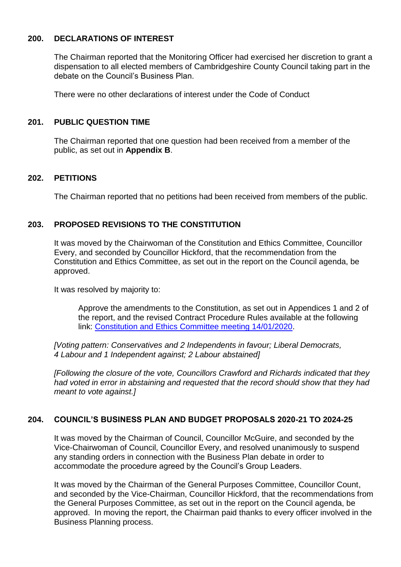## **200. DECLARATIONS OF INTEREST**

The Chairman reported that the Monitoring Officer had exercised her discretion to grant a dispensation to all elected members of Cambridgeshire County Council taking part in the debate on the Council's Business Plan.

There were no other declarations of interest under the Code of Conduct

## **201. PUBLIC QUESTION TIME**

The Chairman reported that one question had been received from a member of the public, as set out in **Appendix B**.

## **202. PETITIONS**

The Chairman reported that no petitions had been received from members of the public.

## **203. PROPOSED REVISIONS TO THE CONSTITUTION**

It was moved by the Chairwoman of the Constitution and Ethics Committee, Councillor Every, and seconded by Councillor Hickford, that the recommendation from the Constitution and Ethics Committee, as set out in the report on the Council agenda, be approved.

It was resolved by majority to:

Approve the amendments to the Constitution, as set out in Appendices 1 and 2 of the report, and the revised Contract Procedure Rules available at the following link: [Constitution and Ethics Committee meeting 14/01/2020.](http://cambridgeshire.cmis.uk.com/ccc_live/Meetings/tabid/70/ctl/ViewMeetingPublic/mid/397/Meeting/1072/Committee/10/Default.aspx)

*[Voting pattern: Conservatives and 2 Independents in favour; Liberal Democrats, 4 Labour and 1 Independent against; 2 Labour abstained]*

*[Following the closure of the vote, Councillors Crawford and Richards indicated that they had voted in error in abstaining and requested that the record should show that they had meant to vote against.]*

## **204. COUNCIL'S BUSINESS PLAN AND BUDGET PROPOSALS 2020-21 TO 2024-25**

It was moved by the Chairman of Council, Councillor McGuire, and seconded by the Vice-Chairwoman of Council, Councillor Every, and resolved unanimously to suspend any standing orders in connection with the Business Plan debate in order to accommodate the procedure agreed by the Council's Group Leaders.

It was moved by the Chairman of the General Purposes Committee, Councillor Count, and seconded by the Vice-Chairman, Councillor Hickford, that the recommendations from the General Purposes Committee, as set out in the report on the Council agenda, be approved. In moving the report, the Chairman paid thanks to every officer involved in the Business Planning process.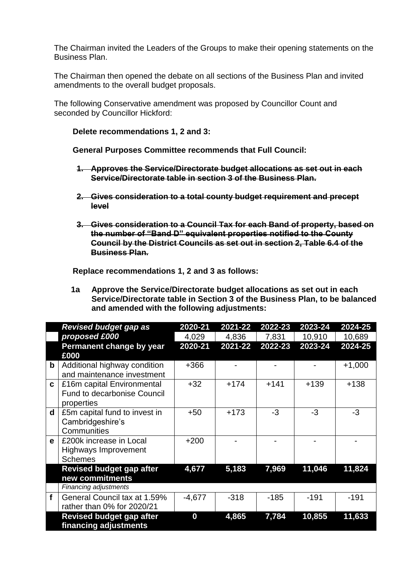The Chairman invited the Leaders of the Groups to make their opening statements on the Business Plan.

The Chairman then opened the debate on all sections of the Business Plan and invited amendments to the overall budget proposals.

The following Conservative amendment was proposed by Councillor Count and seconded by Councillor Hickford:

#### **Delete recommendations 1, 2 and 3:**

**General Purposes Committee recommends that Full Council:**

- **1. Approves the Service/Directorate budget allocations as set out in each Service/Directorate table in section 3 of the Business Plan.**
- **2. Gives consideration to a total county budget requirement and precept level**
- **3. Gives consideration to a Council Tax for each Band of property, based on the number of "Band D" equivalent properties notified to the County Council by the District Councils as set out in section 2, Table 6.4 of the Business Plan.**

**Replace recommendations 1, 2 and 3 as follows:**

|             | <b>Revised budget gap as</b>                             | 2020-21  | 2021-22 | 2022-23 | 2023-24 | 2024-25  |
|-------------|----------------------------------------------------------|----------|---------|---------|---------|----------|
|             | proposed £000                                            | 4,029    | 4,836   | 7,831   | 10,910  | 10,689   |
|             | Permanent change by year                                 | 2020-21  | 2021-22 | 2022-23 | 2023-24 | 2024-25  |
|             | £000                                                     |          |         |         |         |          |
| b           | Additional highway condition                             | $+366$   |         |         |         | $+1,000$ |
|             | and maintenance investment                               |          |         |         |         |          |
| C.          | £16m capital Environmental                               | $+32$    | $+174$  | $+141$  | $+139$  | $+138$   |
|             | Fund to decarbonise Council                              |          |         |         |         |          |
|             | properties                                               |          |         |         |         |          |
| $\mathbf d$ | £5m capital fund to invest in                            | $+50$    | $+173$  | $-3$    | $-3$    | $-3$     |
|             | Cambridgeshire's                                         |          |         |         |         |          |
|             | Communities                                              |          |         |         |         |          |
| e           | £200k increase in Local                                  | $+200$   |         |         |         |          |
|             | Highways Improvement                                     |          |         |         |         |          |
|             | <b>Schemes</b>                                           |          |         |         |         |          |
|             | <b>Revised budget gap after</b>                          | 4,677    | 5,183   | 7,969   | 11,046  | 11,824   |
|             | new commitments                                          |          |         |         |         |          |
|             | Financing adjustments                                    |          |         |         |         |          |
| f           | General Council tax at 1.59%                             | $-4,677$ | $-318$  | $-185$  | $-191$  | $-191$   |
|             | rather than 0% for 2020/21                               |          |         |         |         |          |
|             | <b>Revised budget gap after</b><br>financing adjustments | 0        | 4,865   | 7,784   | 10,855  | 11,633   |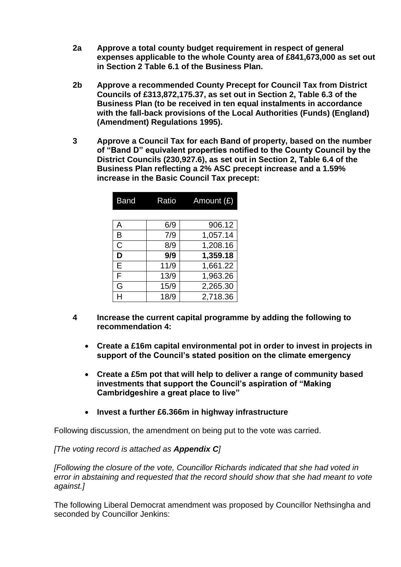- **2a Approve a total county budget requirement in respect of general expenses applicable to the whole County area of £841,673,000 as set out in Section 2 Table 6.1 of the Business Plan.**
- **2b Approve a recommended County Precept for Council Tax from District Councils of £313,872,175.37, as set out in Section 2, Table 6.3 of the Business Plan (to be received in ten equal instalments in accordance with the fall-back provisions of the Local Authorities (Funds) (England) (Amendment) Regulations 1995).**
- **3 Approve a Council Tax for each Band of property, based on the number of "Band D" equivalent properties notified to the County Council by the District Councils (230,927.6), as set out in Section 2, Table 6.4 of the Business Plan reflecting a 2% ASC precept increase and a 1.59% increase in the Basic Council Tax precept:**

| Band         | Ratio | Amount $(E)$ |
|--------------|-------|--------------|
|              |       |              |
| Α            | 6/9   | 906.12       |
| B            | 7/9   | 1,057.14     |
| $\mathsf{C}$ | 8/9   | 1,208.16     |
| D            | 9/9   | 1,359.18     |
| E            | 11/9  | 1,661.22     |
| F            | 13/9  | 1,963.26     |
| G            | 15/9  | 2,265.30     |
|              | 18/9  | 2,718.36     |

- **4 Increase the current capital programme by adding the following to recommendation 4:**
	- **Create a £16m capital environmental pot in order to invest in projects in support of the Council's stated position on the climate emergency**
	- **Create a £5m pot that will help to deliver a range of community based investments that support the Council's aspiration of "Making Cambridgeshire a great place to live"**
	- **Invest a further £6.366m in highway infrastructure**

Following discussion, the amendment on being put to the vote was carried.

*[The voting record is attached as Appendix C]*

*[Following the closure of the vote, Councillor Richards indicated that she had voted in error in abstaining and requested that the record should show that she had meant to vote against.]*

The following Liberal Democrat amendment was proposed by Councillor Nethsingha and seconded by Councillor Jenkins: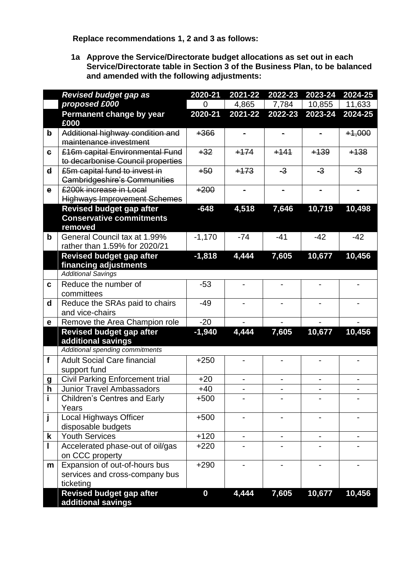**Replace recommendations 1, 2 and 3 as follows:**

|              | <b>Revised budget gap as</b>                                               | 2020-21          | $2021 - 22$ | 2022-23                      | 2023-24 | $2024 - 25$ |
|--------------|----------------------------------------------------------------------------|------------------|-------------|------------------------------|---------|-------------|
|              | proposed £000                                                              | 0                | 4,865       | 7,784                        | 10,855  | 11,633      |
|              | <b>Permanent change by year</b>                                            | 2020-21          | 2021-22     | 2022-23                      | 2023-24 | 2024-25     |
|              | £000                                                                       |                  |             |                              |         |             |
| $\mathbf b$  | Additional highway condition and                                           | $+366$           |             |                              |         | $+1,000$    |
|              | maintenance investment                                                     |                  |             |                              |         |             |
| $\mathbf{e}$ | £16m capital Environmental Fund<br>to decarbonise Council properties       | $+32$            | $+174$      | $+141$                       | $+139$  | $+138$      |
| $\mathbf d$  | £5m capital fund to invest in                                              | $+50$            | $+173$      | $-3$                         | $-3$    | $-3$        |
|              | <b>Cambridgeshire's Communities</b>                                        |                  |             |                              |         |             |
| $\mathbf e$  | £200k increase in Local                                                    | $+200$           |             | $\blacksquare$               |         |             |
|              | <b>Highways Improvement Schemes</b>                                        |                  |             |                              |         |             |
|              | <b>Revised budget gap after</b>                                            | $-648$           | 4,518       | 7,646                        | 10,719  | 10,498      |
|              | <b>Conservative commitments</b>                                            |                  |             |                              |         |             |
|              | removed                                                                    |                  |             |                              |         |             |
| $\mathbf b$  | General Council tax at 1.99%                                               | $-1,170$         | $-74$       | $-41$                        | $-42$   | $-42$       |
|              | rather than 1.59% for 2020/21                                              |                  |             |                              |         |             |
|              | <b>Revised budget gap after</b>                                            | $-1,818$         | 4,444       | 7,605                        | 10,677  | 10,456      |
|              | financing adjustments<br><b>Additional Savings</b>                         |                  |             |                              |         |             |
| C            | Reduce the number of                                                       | $-53$            |             |                              |         |             |
|              | committees                                                                 |                  |             |                              |         |             |
| d            | Reduce the SRAs paid to chairs                                             | $-49$            |             |                              |         |             |
|              | and vice-chairs                                                            |                  |             |                              |         |             |
| е            | Remove the Area Champion role                                              | $-20$            |             |                              |         |             |
|              | <b>Revised budget gap after</b>                                            | $-1,940$         | 4,444       | 7,605                        | 10,677  | 10,456      |
|              | additional savings                                                         |                  |             |                              |         |             |
|              | Additional spending commitments                                            |                  |             |                              |         |             |
| $\mathbf{f}$ | <b>Adult Social Care financial</b>                                         | $+250$           |             |                              |         |             |
|              | support fund                                                               |                  |             |                              |         |             |
| g<br>h       | <b>Civil Parking Enforcement trial</b><br><b>Junior Travel Ambassadors</b> | $+20$            | -           | $\qquad \qquad \blacksquare$ |         |             |
| j.           | <b>Children's Centres and Early</b>                                        | $+40$<br>$+500$  |             |                              |         |             |
|              | Years                                                                      |                  |             |                              |         |             |
| j            | Local Highways Officer                                                     | $+500$           |             |                              |         |             |
|              | disposable budgets                                                         |                  |             |                              |         |             |
| k            | <b>Youth Services</b>                                                      | $+120$           |             |                              |         |             |
|              | Accelerated phase-out of oil/gas                                           | $+220$           |             |                              |         |             |
|              | on CCC property                                                            |                  |             |                              |         |             |
| m            | Expansion of out-of-hours bus                                              | $+290$           |             |                              |         |             |
|              | services and cross-company bus                                             |                  |             |                              |         |             |
|              | ticketing                                                                  |                  |             |                              |         |             |
|              | <b>Revised budget gap after</b>                                            | $\boldsymbol{0}$ | 4,444       | 7,605                        | 10,677  | 10,456      |
|              | additional savings                                                         |                  |             |                              |         |             |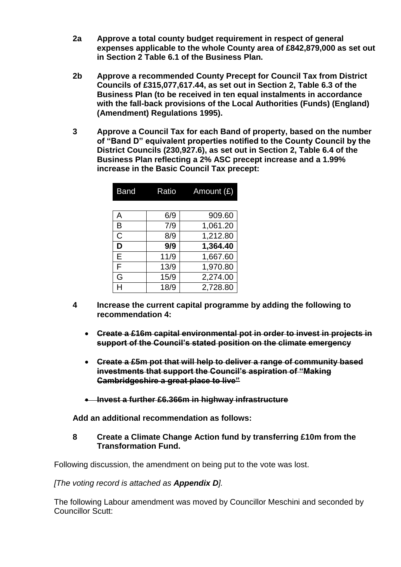- **2a Approve a total county budget requirement in respect of general expenses applicable to the whole County area of £842,879,000 as set out in Section 2 Table 6.1 of the Business Plan.**
- **2b Approve a recommended County Precept for Council Tax from District Councils of £315,077,617.44, as set out in Section 2, Table 6.3 of the Business Plan (to be received in ten equal instalments in accordance with the fall-back provisions of the Local Authorities (Funds) (England) (Amendment) Regulations 1995).**
- **3 Approve a Council Tax for each Band of property, based on the number of "Band D" equivalent properties notified to the County Council by the District Councils (230,927.6), as set out in Section 2, Table 6.4 of the Business Plan reflecting a 2% ASC precept increase and a 1.99% increase in the Basic Council Tax precept:**

| <b>Band</b> | Ratio | Amount (£) |
|-------------|-------|------------|
|             |       |            |
| А           | 6/9   | 909.60     |
| B           | 7/9   | 1,061.20   |
| C           | 8/9   | 1,212.80   |
| D           | 9/9   | 1,364.40   |
| E           | 11/9  | 1,667.60   |
| F           | 13/9  | 1,970.80   |
| G           | 15/9  | 2,274.00   |
|             | 18/9  | 2,728.80   |

- **4 Increase the current capital programme by adding the following to recommendation 4:** 
	- **Create a £16m capital environmental pot in order to invest in projects in support of the Council's stated position on the climate emergency**
	- **Create a £5m pot that will help to deliver a range of community based investments that support the Council's aspiration of "Making Cambridgeshire a great place to live"**
	- **Invest a further £6.366m in highway infrastructure**

**Add an additional recommendation as follows:**

## **8 Create a Climate Change Action fund by transferring £10m from the Transformation Fund.**

Following discussion, the amendment on being put to the vote was lost.

### *[The voting record is attached as Appendix D].*

The following Labour amendment was moved by Councillor Meschini and seconded by Councillor Scutt: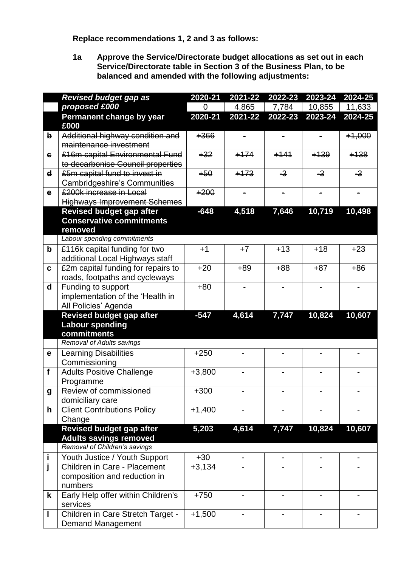**Replace recommendations 1, 2 and 3 as follows:**

|                  | <b>Revised budget gap as</b>                                  | 2020-21  | 2021-22                  | 2022-23                      | 2023-24 | 2024-25  |
|------------------|---------------------------------------------------------------|----------|--------------------------|------------------------------|---------|----------|
|                  | proposed £000                                                 | 0        | 4,865                    | 7,784                        | 10,855  | 11,633   |
|                  | <b>Permanent change by year</b>                               | 2020-21  | 2021-22                  | 2022-23                      | 2023-24 | 2024-25  |
|                  | £000                                                          |          |                          |                              |         |          |
| b                | Additional highway condition and                              | $+366$   |                          |                              |         | $+1,000$ |
|                  | maintenance investment                                        |          |                          |                              |         |          |
| $\epsilon$       | £16m capital Environmental Fund                               | $+32$    | $+174$                   | $+141$                       | $+139$  | $+138$   |
|                  | to decarbonise Council properties                             |          |                          |                              |         |          |
| $\mathbf d$      | £5m capital fund to invest in                                 | $+50$    | $+173$                   | $-3$                         | $-3$    | $-3$     |
|                  | <b>Cambridgeshire's Communities</b>                           |          |                          |                              |         |          |
| $\mathbf{e}$     | <b>£200k increase in Local</b>                                | $+200$   | $\blacksquare$           | $\blacksquare$               |         |          |
|                  | <b>Highways Improvement Schemes</b>                           |          |                          |                              |         |          |
|                  | <b>Revised budget gap after</b>                               | $-648$   | 4,518                    | 7,646                        | 10,719  | 10,498   |
|                  | <b>Conservative commitments</b>                               |          |                          |                              |         |          |
|                  | removed                                                       |          |                          |                              |         |          |
|                  | Labour spending commitments                                   |          |                          |                              |         |          |
| $\mathbf b$      | £116k capital funding for two                                 | $+1$     | $+7$                     | $+13$                        | $+18$   | $+23$    |
|                  | additional Local Highways staff                               |          |                          |                              |         |          |
| C                | £2m capital funding for repairs to                            | $+20$    | $+89$                    | $+88$                        | $+87$   | $+86$    |
|                  | roads, footpaths and cycleways                                |          |                          |                              |         |          |
| d                | Funding to support                                            | $+80$    | $\overline{\phantom{a}}$ | $\qquad \qquad \blacksquare$ |         |          |
|                  | implementation of the 'Health in                              |          |                          |                              |         |          |
|                  | All Policies' Agenda                                          | $-547$   |                          |                              |         |          |
|                  | <b>Revised budget gap after</b><br><b>Labour spending</b>     |          | 4,614                    | 7,747                        | 10,824  | 10,607   |
|                  | commitments                                                   |          |                          |                              |         |          |
|                  | Removal of Adults savings                                     |          |                          |                              |         |          |
| е                | <b>Learning Disabilities</b>                                  | $+250$   |                          |                              |         |          |
|                  | Commissioning                                                 |          |                          |                              |         |          |
| f                | <b>Adults Positive Challenge</b>                              | $+3,800$ |                          |                              |         |          |
|                  | Programme                                                     |          |                          |                              |         |          |
| $\boldsymbol{g}$ | Review of commissioned                                        | $+300$   |                          |                              |         |          |
|                  | domiciliary care                                              |          |                          |                              |         |          |
| h                | <b>Client Contributions Policy</b>                            | $+1,400$ |                          |                              |         |          |
|                  | Change                                                        |          |                          |                              |         |          |
|                  | <b>Revised budget gap after</b>                               | 5,203    | 4,614                    | 7,747                        | 10,824  | 10,607   |
|                  | <b>Adults savings removed</b>                                 |          |                          |                              |         |          |
|                  | Removal of Children's savings                                 |          |                          |                              |         |          |
| İ                | Youth Justice / Youth Support                                 | $+30$    |                          |                              |         |          |
|                  | Children in Care - Placement                                  | $+3,134$ |                          |                              |         |          |
|                  | composition and reduction in                                  |          |                          |                              |         |          |
|                  | numbers                                                       |          |                          |                              |         |          |
| k                | Early Help offer within Children's                            | $+750$   |                          |                              |         |          |
|                  | services                                                      |          |                          |                              |         |          |
|                  |                                                               |          |                          |                              |         |          |
|                  | Children in Care Stretch Target -<br><b>Demand Management</b> | $+1,500$ |                          |                              |         |          |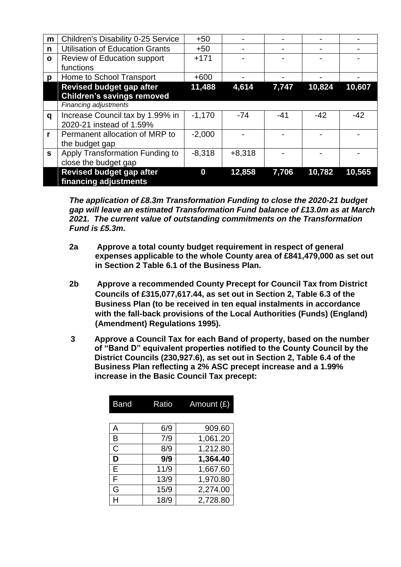| m            | <b>Children's Disability 0-25 Service</b> | $+50$    |          |       |        |        |
|--------------|-------------------------------------------|----------|----------|-------|--------|--------|
| n            | <b>Utilisation of Education Grants</b>    | $+50$    |          |       |        |        |
| $\mathbf{o}$ | Review of Education support               | $+171$   |          |       |        |        |
|              | functions                                 |          |          |       |        |        |
| p            | Home to School Transport                  | $+600$   |          |       |        |        |
|              | <b>Revised budget gap after</b>           | 11,488   | 4,614    | 7,747 | 10,824 | 10,607 |
|              | <b>Children's savings removed</b>         |          |          |       |        |        |
|              | <b>Financing adjustments</b>              |          |          |       |        |        |
| q            | Increase Council tax by 1.99% in          | $-1,170$ | $-74$    | $-41$ | $-42$  | $-42$  |
|              | 2020-21 instead of 1.59%                  |          |          |       |        |        |
| r            | Permanent allocation of MRP to            | $-2,000$ |          |       |        |        |
|              | the budget gap                            |          |          |       |        |        |
| $\mathbf{s}$ | Apply Transformation Funding to           | $-8,318$ | $+8,318$ |       |        |        |
|              | close the budget gap                      |          |          |       |        |        |
|              | <b>Revised budget gap after</b>           | 0        | 12,858   | 7,706 | 10,782 | 10,565 |
|              | financing adjustments                     |          |          |       |        |        |

*The application of £8.3m Transformation Funding to close the 2020-21 budget gap will leave an estimated Transformation Fund balance of £13.0m as at March 2021. The current value of outstanding commitments on the Transformation Fund is £5.3m.*

- **2a Approve a total county budget requirement in respect of general expenses applicable to the whole County area of £841,479,000 as set out in Section 2 Table 6.1 of the Business Plan.**
- **2b Approve a recommended County Precept for Council Tax from District Councils of £315,077,617.44, as set out in Section 2, Table 6.3 of the Business Plan (to be received in ten equal instalments in accordance with the fall-back provisions of the Local Authorities (Funds) (England) (Amendment) Regulations 1995).**
- **3 Approve a Council Tax for each Band of property, based on the number of "Band D" equivalent properties notified to the County Council by the District Councils (230,927.6), as set out in Section 2, Table 6.4 of the Business Plan reflecting a 2% ASC precept increase and a 1.99% increase in the Basic Council Tax precept:**

| <b>Band</b> | Ratio | Amount $(E)$ |
|-------------|-------|--------------|
|             |       |              |
| Α           | 6/9   | 909.60       |
| B           | 7/9   | 1,061.20     |
| C           | 8/9   | 1,212.80     |
| D           | 9/9   | 1,364.40     |
| E           | 11/9  | 1,667.60     |
| F           | 13/9  | 1,970.80     |
| G           | 15/9  | 2,274.00     |
|             | 18/9  | 2,728.80     |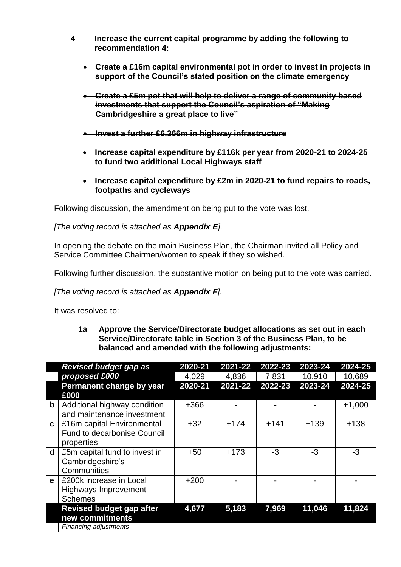- **4 Increase the current capital programme by adding the following to recommendation 4:**
	- **Create a £16m capital environmental pot in order to invest in projects in support of the Council's stated position on the climate emergency**
	- **Create a £5m pot that will help to deliver a range of community based investments that support the Council's aspiration of "Making Cambridgeshire a great place to live"**
	- **Invest a further £6.366m in highway infrastructure**
	- **Increase capital expenditure by £116k per year from 2020-21 to 2024-25 to fund two additional Local Highways staff**
	- **Increase capital expenditure by £2m in 2020-21 to fund repairs to roads, footpaths and cycleways**

Following discussion, the amendment on being put to the vote was lost.

*[The voting record is attached as Appendix E].*

In opening the debate on the main Business Plan, the Chairman invited all Policy and Service Committee Chairmen/women to speak if they so wished.

Following further discussion, the substantive motion on being put to the vote was carried.

*[The voting record is attached as Appendix F].*

It was resolved to:

|              | <b>Revised budget gap as</b>                               | 2020-21 | 2021-22 | 2022-23 | 2023-24 | 2024-25  |
|--------------|------------------------------------------------------------|---------|---------|---------|---------|----------|
|              | proposed £000                                              | 4,029   | 4,836   | 7,831   | 10,910  | 10,689   |
|              | Permanent change by year                                   | 2020-21 | 2021-22 | 2022-23 | 2023-24 | 2024-25  |
|              | £000                                                       |         |         |         |         |          |
| $\mathbf b$  | Additional highway condition<br>and maintenance investment | $+366$  |         |         |         | $+1,000$ |
|              |                                                            |         |         |         |         |          |
| $\mathbf{c}$ | £16m capital Environmental                                 | $+32$   | $+174$  | $+141$  | $+139$  | $+138$   |
|              | <b>Fund to decarbonise Council</b>                         |         |         |         |         |          |
|              | properties                                                 |         |         |         |         |          |
| $\mathbf d$  | £5m capital fund to invest in                              | $+50$   | $+173$  | -3      | $-3$    | $-3$     |
|              | Cambridgeshire's                                           |         |         |         |         |          |
|              | Communities                                                |         |         |         |         |          |
| $\mathbf{e}$ | £200k increase in Local                                    | $+200$  |         |         |         |          |
|              | Highways Improvement                                       |         |         |         |         |          |
|              | <b>Schemes</b>                                             |         |         |         |         |          |
|              | <b>Revised budget gap after</b>                            | 4,677   | 5,183   | 7,969   | 11,046  | 11,824   |
|              |                                                            |         |         |         |         |          |
|              | new commitments                                            |         |         |         |         |          |
|              | <b>Financing adjustments</b>                               |         |         |         |         |          |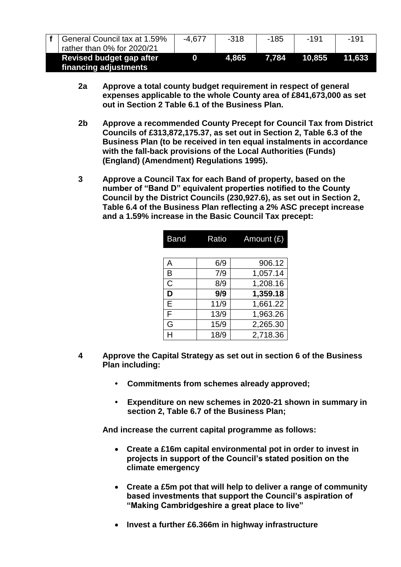| General Council tax at 1.59%<br>rather than 0% for 2020/21 | $-4.677$ | -318  | -185  | $-191$ | -191   |
|------------------------------------------------------------|----------|-------|-------|--------|--------|
| Revised budget gap after<br>financing adjustments          |          | 4.865 | 7.784 | 10.855 | 11.633 |

- **2a Approve a total county budget requirement in respect of general expenses applicable to the whole County area of £841,673,000 as set out in Section 2 Table 6.1 of the Business Plan.**
- **2b Approve a recommended County Precept for Council Tax from District Councils of £313,872,175.37, as set out in Section 2, Table 6.3 of the Business Plan (to be received in ten equal instalments in accordance with the fall-back provisions of the Local Authorities (Funds) (England) (Amendment) Regulations 1995).**
- **3 Approve a Council Tax for each Band of property, based on the number of "Band D" equivalent properties notified to the County Council by the District Councils (230,927.6), as set out in Section 2, Table 6.4 of the Business Plan reflecting a 2% ASC precept increase and a 1.59% increase in the Basic Council Tax precept:**

| <b>Band</b> | Ratio | Amount $(E)$ |
|-------------|-------|--------------|
|             |       |              |
| A           | 6/9   | 906.12       |
| B           | 7/9   | 1,057.14     |
| C           | 8/9   | 1,208.16     |
| D           | 9/9   | 1,359.18     |
| E           | 11/9  | 1,661.22     |
| F           | 13/9  | 1,963.26     |
| G           | 15/9  | 2,265.30     |
|             | 18/9  | 2,718.36     |

- **4 Approve the Capital Strategy as set out in section 6 of the Business Plan including:**
	- **• Commitments from schemes already approved;**
	- **• Expenditure on new schemes in 2020-21 shown in summary in section 2, Table 6.7 of the Business Plan;**

**And increase the current capital programme as follows:**

- **Create a £16m capital environmental pot in order to invest in projects in support of the Council's stated position on the climate emergency**
- **Create a £5m pot that will help to deliver a range of community based investments that support the Council's aspiration of "Making Cambridgeshire a great place to live"**
- **Invest a further £6.366m in highway infrastructure**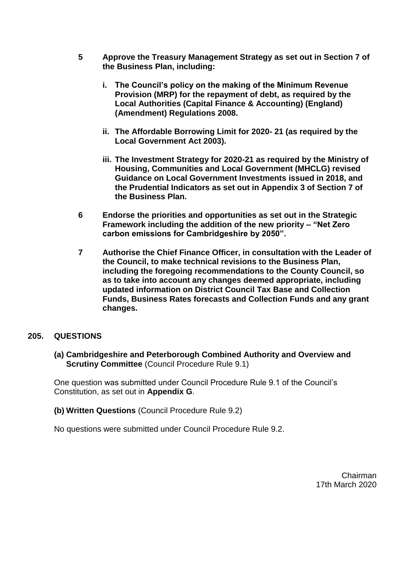- **5 Approve the Treasury Management Strategy as set out in Section 7 of the Business Plan, including:**
	- **i. The Council's policy on the making of the Minimum Revenue Provision (MRP) for the repayment of debt, as required by the Local Authorities (Capital Finance & Accounting) (England) (Amendment) Regulations 2008.**
	- **ii. The Affordable Borrowing Limit for 2020- 21 (as required by the Local Government Act 2003).**
	- **iii. The Investment Strategy for 2020-21 as required by the Ministry of Housing, Communities and Local Government (MHCLG) revised Guidance on Local Government Investments issued in 2018, and the Prudential Indicators as set out in Appendix 3 of Section 7 of the Business Plan.**
- **6 Endorse the priorities and opportunities as set out in the Strategic Framework including the addition of the new priority – "Net Zero carbon emissions for Cambridgeshire by 2050".**
- **7 Authorise the Chief Finance Officer, in consultation with the Leader of the Council, to make technical revisions to the Business Plan, including the foregoing recommendations to the County Council, so as to take into account any changes deemed appropriate, including updated information on District Council Tax Base and Collection Funds, Business Rates forecasts and Collection Funds and any grant changes.**

### **205. QUESTIONS**

**(a) Cambridgeshire and Peterborough Combined Authority and Overview and Scrutiny Committee (Council Procedure Rule 9.1)** 

One question was submitted under Council Procedure Rule 9.1 of the Council's Constitution, as set out in **Appendix G**.

**(b) Written Questions** (Council Procedure Rule 9.2)

No questions were submitted under Council Procedure Rule 9.2.

Chairman 17th March 2020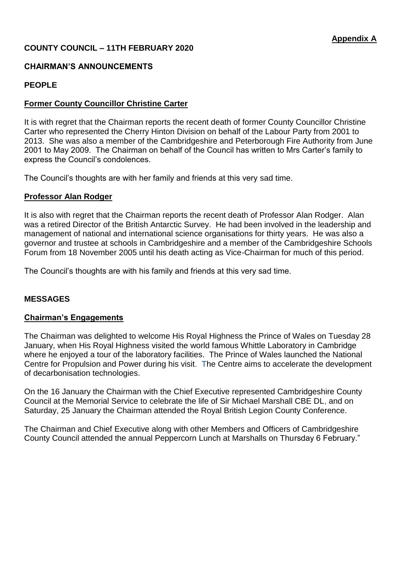## **COUNTY COUNCIL – 11TH FEBRUARY 2020**

## **CHAIRMAN'S ANNOUNCEMENTS**

### **PEOPLE**

## **Former County Councillor Christine Carter**

It is with regret that the Chairman reports the recent death of former County Councillor Christine Carter who represented the Cherry Hinton Division on behalf of the Labour Party from 2001 to 2013. She was also a member of the Cambridgeshire and Peterborough Fire Authority from June 2001 to May 2009. The Chairman on behalf of the Council has written to Mrs Carter's family to express the Council's condolences.

The Council's thoughts are with her family and friends at this very sad time.

### **Professor Alan Rodger**

It is also with regret that the Chairman reports the recent death of Professor Alan Rodger. Alan was a retired Director of the British Antarctic Survey. He had been involved in the leadership and management of national and international science organisations for thirty years. He was also a governor and trustee at schools in Cambridgeshire and a member of the Cambridgeshire Schools Forum from 18 November 2005 until his death acting as Vice-Chairman for much of this period.

The Council's thoughts are with his family and friends at this very sad time.

### **MESSAGES**

### **Chairman's Engagements**

The Chairman was delighted to welcome His Royal Highness the Prince of Wales on Tuesday 28 January, when His Royal Highness visited the world famous Whittle Laboratory in Cambridge where he enjoyed a tour of the laboratory facilities. The Prince of Wales launched the National Centre for Propulsion and Power during his visit. The Centre aims to accelerate the development of decarbonisation technologies.

On the 16 January the Chairman with the Chief Executive represented Cambridgeshire County Council at the Memorial Service to celebrate the life of Sir Michael Marshall CBE DL, and on Saturday, 25 January the Chairman attended the Royal British Legion County Conference.

The Chairman and Chief Executive along with other Members and Officers of Cambridgeshire County Council attended the annual Peppercorn Lunch at Marshalls on Thursday 6 February."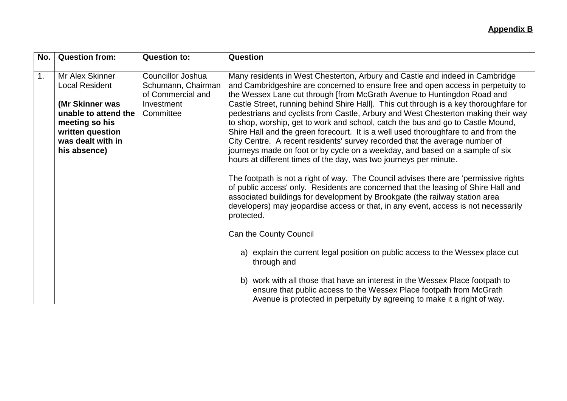## **Appendix B**

| <b>Question from:</b>                                                                                                                                          | <b>Question to:</b>                                                                     | Question                                                                                                                                                                                                                                                                                                                                                                                                                                                                                                                                                                                                                                                                                                                                                                                                                                                                                                                                                                                                                                                                                                                                                                                                                                                                                                                                                                                                                                                                                                                                                                 |
|----------------------------------------------------------------------------------------------------------------------------------------------------------------|-----------------------------------------------------------------------------------------|--------------------------------------------------------------------------------------------------------------------------------------------------------------------------------------------------------------------------------------------------------------------------------------------------------------------------------------------------------------------------------------------------------------------------------------------------------------------------------------------------------------------------------------------------------------------------------------------------------------------------------------------------------------------------------------------------------------------------------------------------------------------------------------------------------------------------------------------------------------------------------------------------------------------------------------------------------------------------------------------------------------------------------------------------------------------------------------------------------------------------------------------------------------------------------------------------------------------------------------------------------------------------------------------------------------------------------------------------------------------------------------------------------------------------------------------------------------------------------------------------------------------------------------------------------------------------|
| Mr Alex Skinner<br><b>Local Resident</b><br>(Mr Skinner was<br>unable to attend the<br>meeting so his<br>written question<br>was dealt with in<br>his absence) | Councillor Joshua<br>Schumann, Chairman<br>of Commercial and<br>Investment<br>Committee | Many residents in West Chesterton, Arbury and Castle and indeed in Cambridge<br>and Cambridgeshire are concerned to ensure free and open access in perpetuity to<br>the Wessex Lane cut through [from McGrath Avenue to Huntingdon Road and<br>Castle Street, running behind Shire Hall]. This cut through is a key thoroughfare for<br>pedestrians and cyclists from Castle, Arbury and West Chesterton making their way<br>to shop, worship, get to work and school, catch the bus and go to Castle Mound,<br>Shire Hall and the green forecourt. It is a well used thoroughfare to and from the<br>City Centre. A recent residents' survey recorded that the average number of<br>journeys made on foot or by cycle on a weekday, and based on a sample of six<br>hours at different times of the day, was two journeys per minute.<br>The footpath is not a right of way. The Council advises there are 'permissive rights<br>of public access' only. Residents are concerned that the leasing of Shire Hall and<br>associated buildings for development by Brookgate (the railway station area<br>developers) may jeopardise access or that, in any event, access is not necessarily<br>protected.<br>Can the County Council<br>a) explain the current legal position on public access to the Wessex place cut<br>through and<br>work with all those that have an interest in the Wessex Place footpath to<br>b)<br>ensure that public access to the Wessex Place footpath from McGrath<br>Avenue is protected in perpetuity by agreeing to make it a right of way. |
|                                                                                                                                                                |                                                                                         |                                                                                                                                                                                                                                                                                                                                                                                                                                                                                                                                                                                                                                                                                                                                                                                                                                                                                                                                                                                                                                                                                                                                                                                                                                                                                                                                                                                                                                                                                                                                                                          |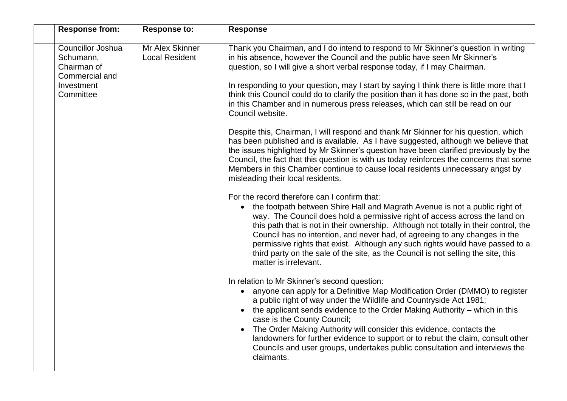| <b>Response from:</b>                                                                      | <b>Response to:</b>                      | <b>Response</b>                                                                                                                                                                                                                                                                                                                                                                                                                                                                                                                                                                                                                                                                                                                                                                                                                                                                                                                                                                                                                                                                                                                                                                                                                                                                                                                                                                                                                                                                                                                                                                                                                      |
|--------------------------------------------------------------------------------------------|------------------------------------------|--------------------------------------------------------------------------------------------------------------------------------------------------------------------------------------------------------------------------------------------------------------------------------------------------------------------------------------------------------------------------------------------------------------------------------------------------------------------------------------------------------------------------------------------------------------------------------------------------------------------------------------------------------------------------------------------------------------------------------------------------------------------------------------------------------------------------------------------------------------------------------------------------------------------------------------------------------------------------------------------------------------------------------------------------------------------------------------------------------------------------------------------------------------------------------------------------------------------------------------------------------------------------------------------------------------------------------------------------------------------------------------------------------------------------------------------------------------------------------------------------------------------------------------------------------------------------------------------------------------------------------------|
| Councillor Joshua<br>Schumann,<br>Chairman of<br>Commercial and<br>Investment<br>Committee | Mr Alex Skinner<br><b>Local Resident</b> | Thank you Chairman, and I do intend to respond to Mr Skinner's question in writing<br>in his absence, however the Council and the public have seen Mr Skinner's<br>question, so I will give a short verbal response today, if I may Chairman.<br>In responding to your question, may I start by saying I think there is little more that I<br>think this Council could do to clarify the position than it has done so in the past, both<br>in this Chamber and in numerous press releases, which can still be read on our<br>Council website.<br>Despite this, Chairman, I will respond and thank Mr Skinner for his question, which<br>has been published and is available. As I have suggested, although we believe that<br>the issues highlighted by Mr Skinner's question have been clarified previously by the<br>Council, the fact that this question is with us today reinforces the concerns that some<br>Members in this Chamber continue to cause local residents unnecessary angst by<br>misleading their local residents.<br>For the record therefore can I confirm that:<br>the footpath between Shire Hall and Magrath Avenue is not a public right of<br>$\bullet$<br>way. The Council does hold a permissive right of access across the land on<br>this path that is not in their ownership. Although not totally in their control, the<br>Council has no intention, and never had, of agreeing to any changes in the<br>permissive rights that exist. Although any such rights would have passed to a<br>third party on the sale of the site, as the Council is not selling the site, this<br>matter is irrelevant. |
|                                                                                            |                                          | In relation to Mr Skinner's second question:<br>anyone can apply for a Definitive Map Modification Order (DMMO) to register<br>$\bullet$<br>a public right of way under the Wildlife and Countryside Act 1981;<br>the applicant sends evidence to the Order Making Authority - which in this<br>case is the County Council;<br>The Order Making Authority will consider this evidence, contacts the<br>landowners for further evidence to support or to rebut the claim, consult other<br>Councils and user groups, undertakes public consultation and interviews the<br>claimants.                                                                                                                                                                                                                                                                                                                                                                                                                                                                                                                                                                                                                                                                                                                                                                                                                                                                                                                                                                                                                                                  |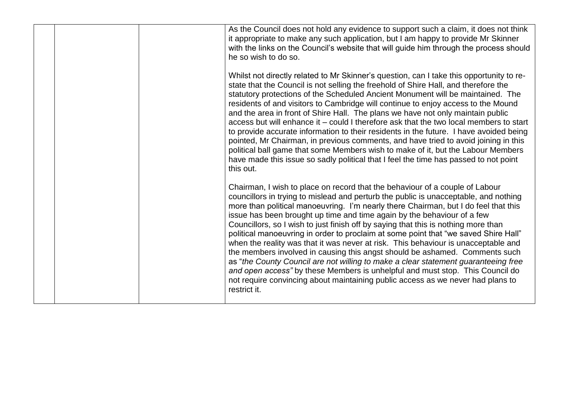|  | As the Council does not hold any evidence to support such a claim, it does not think<br>it appropriate to make any such application, but I am happy to provide Mr Skinner<br>with the links on the Council's website that will guide him through the process should<br>he so wish to do so.                                                                                                                                                                                                                                                                                                                                                                                                                                                                                                                                                                                                                                                                        |
|--|--------------------------------------------------------------------------------------------------------------------------------------------------------------------------------------------------------------------------------------------------------------------------------------------------------------------------------------------------------------------------------------------------------------------------------------------------------------------------------------------------------------------------------------------------------------------------------------------------------------------------------------------------------------------------------------------------------------------------------------------------------------------------------------------------------------------------------------------------------------------------------------------------------------------------------------------------------------------|
|  | Whilst not directly related to Mr Skinner's question, can I take this opportunity to re-<br>state that the Council is not selling the freehold of Shire Hall, and therefore the<br>statutory protections of the Scheduled Ancient Monument will be maintained. The<br>residents of and visitors to Cambridge will continue to enjoy access to the Mound<br>and the area in front of Shire Hall. The plans we have not only maintain public<br>access but will enhance it – could I therefore ask that the two local members to start<br>to provide accurate information to their residents in the future. I have avoided being<br>pointed, Mr Chairman, in previous comments, and have tried to avoid joining in this<br>political ball game that some Members wish to make of it, but the Labour Members<br>have made this issue so sadly political that I feel the time has passed to not point<br>this out.                                                     |
|  | Chairman, I wish to place on record that the behaviour of a couple of Labour<br>councillors in trying to mislead and perturb the public is unacceptable, and nothing<br>more than political manoeuvring. I'm nearly there Chairman, but I do feel that this<br>issue has been brought up time and time again by the behaviour of a few<br>Councillors, so I wish to just finish off by saying that this is nothing more than<br>political manoeuvring in order to proclaim at some point that "we saved Shire Hall"<br>when the reality was that it was never at risk. This behaviour is unacceptable and<br>the members involved in causing this angst should be ashamed. Comments such<br>as "the County Council are not willing to make a clear statement guaranteeing free<br>and open access" by these Members is unhelpful and must stop. This Council do<br>not require convincing about maintaining public access as we never had plans to<br>restrict it. |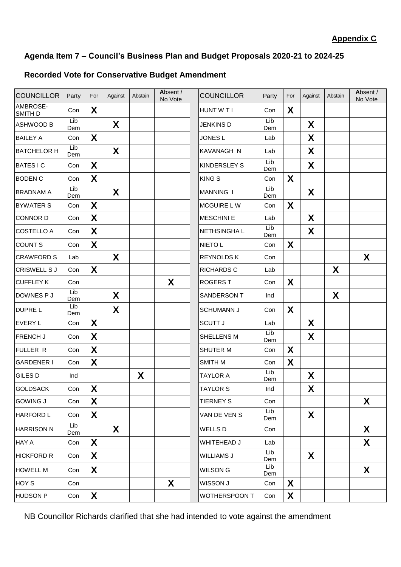## **Recorded Vote for Conservative Budget Amendment**

| <b>COUNCILLOR</b>   | Party      | For | Against | Abstain | Absent /<br>No Vote | <b>COUNCILLOR</b>   | Party      | For          | Against | Abstain | Absent /<br>No Vote |
|---------------------|------------|-----|---------|---------|---------------------|---------------------|------------|--------------|---------|---------|---------------------|
| AMBROSE-<br>SMITH D | Con        | X   |         |         |                     | HUNT W T I          | Con        | X            |         |         |                     |
| <b>ASHWOOD B</b>    | Lib<br>Dem |     | X       |         |                     | <b>JENKINS D</b>    | Lib<br>Dem |              | X       |         |                     |
| <b>BAILEY A</b>     | Con        | X   |         |         |                     | JONES <sub>L</sub>  | Lab        |              | X       |         |                     |
| <b>BATCHELOR H</b>  | Lib<br>Dem |     | X       |         |                     | KAVANAGH N          | Lab        |              | X       |         |                     |
| <b>BATESIC</b>      | Con        | X   |         |         |                     | <b>KINDERSLEY S</b> | Lib<br>Dem |              | X       |         |                     |
| <b>BODEN C</b>      | Con        | X   |         |         |                     | <b>KINGS</b>        | Con        | $\mathbf{X}$ |         |         |                     |
| <b>BRADNAM A</b>    | Lib<br>Dem |     | X       |         |                     | <b>MANNING I</b>    | Lib<br>Dem |              | X       |         |                     |
| <b>BYWATER S</b>    | Con        | X   |         |         |                     | MCGUIRE LW          | Con        | X            |         |         |                     |
| <b>CONNOR D</b>     | Con        | X   |         |         |                     | <b>MESCHINI E</b>   | Lab        |              | X       |         |                     |
| <b>COSTELLO A</b>   | Con        | X   |         |         |                     | NETHSINGHA L        | Lib<br>Dem |              | X       |         |                     |
| <b>COUNT S</b>      | Con        | X   |         |         |                     | <b>NIETO L</b>      | Con        | X            |         |         |                     |
| <b>CRAWFORD S</b>   | Lab        |     | X       |         |                     | <b>REYNOLDS K</b>   | Con        |              |         |         | X                   |
| <b>CRISWELL S J</b> | Con        | X   |         |         |                     | <b>RICHARDS C</b>   | Lab        |              |         | X       |                     |
| <b>CUFFLEY K</b>    | Con        |     |         |         | X                   | <b>ROGERS T</b>     | Con        | X            |         |         |                     |
| DOWNES P J          | Lib<br>Dem |     | X       |         |                     | SANDERSON T         | Ind        |              |         | X       |                     |
| <b>DUPRE L</b>      | Lib<br>Dem |     | X       |         |                     | <b>SCHUMANN J</b>   | Con        | X            |         |         |                     |
| <b>EVERY L</b>      | Con        | X   |         |         |                     | <b>SCUTT J</b>      | Lab        |              | X       |         |                     |
| FRENCH J            | Con        | X   |         |         |                     | SHELLENS M          | Lib<br>Dem |              | X       |         |                     |
| FULLER R            | Con        | X   |         |         |                     | SHUTER M            | Con        | X            |         |         |                     |
| <b>GARDENER I</b>   | Con        | X   |         |         |                     | SMITH M             | Con        | X            |         |         |                     |
| <b>GILES D</b>      | Ind        |     |         | X       |                     | <b>TAYLOR A</b>     | Lib<br>Dem |              | X       |         |                     |
| GOLDSACK            | Con        | X   |         |         |                     | <b>TAYLOR S</b>     | Ind        |              | X       |         |                     |
| <b>GOWING J</b>     | Con        | X   |         |         |                     | <b>TIERNEY S</b>    | Con        |              |         |         | X                   |
| <b>HARFORD L</b>    | Con        | X   |         |         |                     | VAN DE VEN S        | Lib<br>Dem |              | X       |         |                     |
| <b>HARRISON N</b>   | Lib<br>Dem |     | X       |         |                     | WELLS D             | Con        |              |         |         | X                   |
| <b>HAY A</b>        | Con        | X   |         |         |                     | WHITEHEAD J         | Lab        |              |         |         | X                   |
| <b>HICKFORD R</b>   | Con        | X   |         |         |                     | <b>WILLIAMS J</b>   | Lib<br>Dem |              | X       |         |                     |
| <b>HOWELL M</b>     | Con        | X   |         |         |                     | WILSON G            | Lib<br>Dem |              |         |         | X                   |
| HOY S               | Con        |     |         |         | X                   | WISSON J            | Con        | X            |         |         |                     |
| <b>HUDSON P</b>     | Con        | X   |         |         |                     | WOTHERSPOON T       | Con        | X            |         |         |                     |

NB Councillor Richards clarified that she had intended to vote against the amendment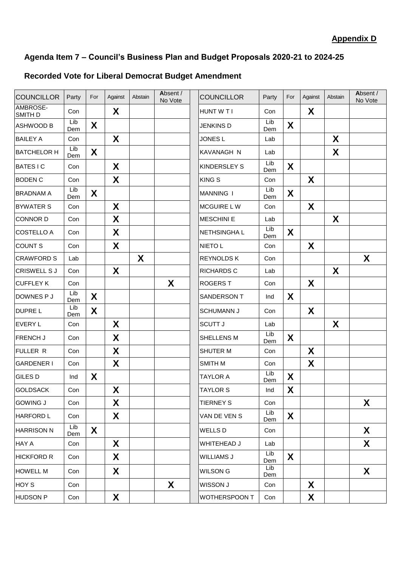# **Recorded Vote for Liberal Democrat Budget Amendment**

| <b>COUNCILLOR</b>   | Party      | For              | Against          | Abstain | Absent /<br>No Vote | <b>COUNCILLOR</b>    | Party      | For | Against | Abstain | Absent /<br>No Vote |
|---------------------|------------|------------------|------------------|---------|---------------------|----------------------|------------|-----|---------|---------|---------------------|
| AMBROSE-<br>SMITH D | Con        |                  | X                |         |                     | HUNT W T I           | Con        |     | X       |         |                     |
| ASHWOOD B           | Lib<br>Dem | X                |                  |         |                     | <b>JENKINS D</b>     | Lib<br>Dem | X   |         |         |                     |
| <b>BAILEY A</b>     | Con        |                  | X                |         |                     | <b>JONES L</b>       | Lab        |     |         | X       |                     |
| <b>BATCHELOR H</b>  | Lib<br>Dem | X                |                  |         |                     | <b>KAVANAGH N</b>    | Lab        |     |         | X       |                     |
| <b>BATESIC</b>      | Con        |                  | X                |         |                     | <b>KINDERSLEY S</b>  | Lib<br>Dem | X   |         |         |                     |
| <b>BODEN C</b>      | Con        |                  | X                |         |                     | <b>KING S</b>        | Con        |     | X       |         |                     |
| <b>BRADNAM A</b>    | Lib<br>Dem | X                |                  |         |                     | MANNING I            | Lib<br>Dem | X   |         |         |                     |
| <b>BYWATER S</b>    | Con        |                  | X                |         |                     | MCGUIRE LW           | Con        |     | X       |         |                     |
| <b>CONNOR D</b>     | Con        |                  | X                |         |                     | <b>MESCHINI E</b>    | Lab        |     |         | X       |                     |
| <b>COSTELLO A</b>   | Con        |                  | X                |         |                     | <b>NETHSINGHAL</b>   | Lib<br>Dem | X   |         |         |                     |
| <b>COUNT S</b>      | Con        |                  | X                |         |                     | <b>NIETO L</b>       | Con        |     | X       |         |                     |
| <b>CRAWFORD S</b>   | Lab        |                  |                  | X       |                     | <b>REYNOLDS K</b>    | Con        |     |         |         | X                   |
| <b>CRISWELL S J</b> | Con        |                  | X                |         |                     | <b>RICHARDS C</b>    | Lab        |     |         | X       |                     |
| <b>CUFFLEY K</b>    | Con        |                  |                  |         | X                   | <b>ROGERS T</b>      | Con        |     | X       |         |                     |
| DOWNES P J          | Lib<br>Dem | X                |                  |         |                     | <b>SANDERSON T</b>   | Ind        | X   |         |         |                     |
| DUPRE L             | Lib<br>Dem | $\boldsymbol{X}$ |                  |         |                     | <b>SCHUMANN J</b>    | Con        |     | X       |         |                     |
| <b>EVERY L</b>      | Con        |                  | X                |         |                     | <b>SCUTT J</b>       | Lab        |     |         | X       |                     |
| FRENCH J            | Con        |                  | X                |         |                     | SHELLENS M           | Lib<br>Dem | X   |         |         |                     |
| <b>FULLER R</b>     | Con        |                  | X                |         |                     | <b>SHUTER M</b>      | Con        |     | X       |         |                     |
| <b>GARDENER I</b>   | Con        |                  | X                |         |                     | <b>SMITH M</b>       | Con        |     | X       |         |                     |
| GILES D             | Ind        | X                |                  |         |                     | <b>TAYLOR A</b>      | Lib<br>Dem | X   |         |         |                     |
| <b>GOLDSACK</b>     | Con        |                  | $\boldsymbol{X}$ |         |                     | <b>TAYLOR S</b>      | Ind        | X   |         |         |                     |
| <b>GOWING J</b>     | Con        |                  | X                |         |                     | <b>TIERNEY S</b>     | Con        |     |         |         | X                   |
| <b>HARFORD L</b>    | Con        |                  | X                |         |                     | VAN DE VEN S         | Lib<br>Dem | X   |         |         |                     |
| <b>HARRISON N</b>   | Lib<br>Dem | X                |                  |         |                     | <b>WELLS D</b>       | Con        |     |         |         | X                   |
| HAY A               | Con        |                  | X                |         |                     | WHITEHEAD J          | Lab        |     |         |         | X                   |
| <b>HICKFORD R</b>   | Con        |                  | X                |         |                     | <b>WILLIAMS J</b>    | Lib<br>Dem | X   |         |         |                     |
| <b>HOWELL M</b>     | Con        |                  | X                |         |                     | <b>WILSON G</b>      | Lib<br>Dem |     |         |         | X                   |
| HOY S               | Con        |                  |                  |         | X                   | WISSON J             | Con        |     | X       |         |                     |
| <b>HUDSON P</b>     | Con        |                  | X                |         |                     | <b>WOTHERSPOON T</b> | Con        |     | X       |         |                     |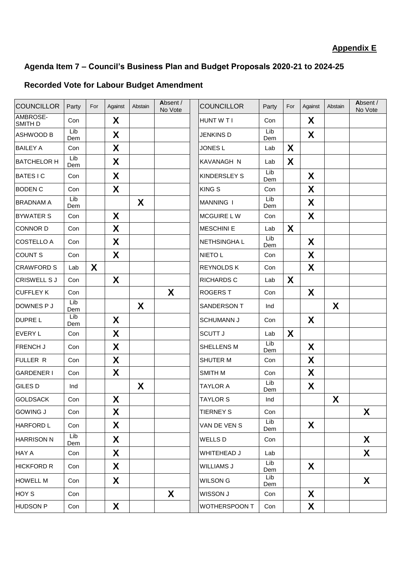## **Recorded Vote for Labour Budget Amendment**

| <b>COUNCILLOR</b>   | Party      | For | Against | Abstain | Absent /<br>No Vote | <b>COUNCILLOR</b>    | Party      | For | Against | Abstain | Absent /<br>No Vote |
|---------------------|------------|-----|---------|---------|---------------------|----------------------|------------|-----|---------|---------|---------------------|
| AMBROSE-<br>SMITH D | Con        |     | X       |         |                     | HUNT W T I           | Con        |     | X       |         |                     |
| ASHWOOD B           | Lib<br>Dem |     | X       |         |                     | JENKINS D            | Lib<br>Dem |     | X       |         |                     |
| <b>BAILEY A</b>     | Con        |     | X       |         |                     | <b>JONES L</b>       | Lab        | X   |         |         |                     |
| <b>BATCHELOR H</b>  | Lib<br>Dem |     | X       |         |                     | KAVANAGH N           | Lab        | X   |         |         |                     |
| <b>BATESIC</b>      | Con        |     | X       |         |                     | KINDERSLEY S         | Lib<br>Dem |     | X       |         |                     |
| <b>BODEN C</b>      | Con        |     | X       |         |                     | <b>KINGS</b>         | Con        |     | X       |         |                     |
| <b>BRADNAM A</b>    | Lib<br>Dem |     |         | X       |                     | <b>MANNING I</b>     | Lib<br>Dem |     | X       |         |                     |
| <b>BYWATER S</b>    | Con        |     | X       |         |                     | <b>MCGUIRE LW</b>    | Con        |     | X       |         |                     |
| <b>CONNOR D</b>     | Con        |     | X       |         |                     | <b>MESCHINI E</b>    | Lab        | X   |         |         |                     |
| <b>COSTELLO A</b>   | Con        |     | X       |         |                     | NETHSINGHA L         | Lib<br>Dem |     | X       |         |                     |
| <b>COUNT S</b>      | Con        |     | X       |         |                     | NIETO L              | Con        |     | X       |         |                     |
| <b>CRAWFORD S</b>   | Lab        | X   |         |         |                     | <b>REYNOLDS K</b>    | Con        |     | X       |         |                     |
| <b>CRISWELL S J</b> | Con        |     | X       |         |                     | <b>RICHARDS C</b>    | Lab        | X   |         |         |                     |
| <b>CUFFLEY K</b>    | Con        |     |         |         | X                   | <b>ROGERS T</b>      | Con        |     | X       |         |                     |
| DOWNES P J          | Lib<br>Dem |     |         | X       |                     | SANDERSON T          | Ind        |     |         | X       |                     |
| DUPRE L             | Lib<br>Dem |     | X       |         |                     | <b>SCHUMANN J</b>    | Con        |     | X       |         |                     |
| <b>EVERY L</b>      | Con        |     | X       |         |                     | <b>SCUTT J</b>       | Lab        | X   |         |         |                     |
| FRENCH J            | Con        |     | X       |         |                     | SHELLENS M           | Lib<br>Dem |     | X       |         |                     |
| FULLER R            | Con        |     | X       |         |                     | SHUTER M             | Con        |     | X       |         |                     |
| <b>GARDENER I</b>   | Con        |     | X       |         |                     | SMITH M              | Con        |     | X       |         |                     |
| GILES D             | Ind        |     |         | X       |                     | <b>TAYLOR A</b>      | Lib<br>Dem |     | X       |         |                     |
| GOLDSACK            | Con        |     | X       |         |                     | <b>TAYLOR S</b>      | Ind        |     |         | X       |                     |
| <b>GOWING J</b>     | Con        |     | X       |         |                     | <b>TIERNEY S</b>     | Con        |     |         |         | X                   |
| <b>HARFORD L</b>    | Con        |     | X       |         |                     | VAN DE VEN S         | Lib<br>Dem |     | X       |         |                     |
| <b>HARRISON N</b>   | Lib<br>Dem |     | X       |         |                     | WELLS D              | Con        |     |         |         | X                   |
| HAY A               | Con        |     | X       |         |                     | WHITEHEAD J          | Lab        |     |         |         | X                   |
| <b>HICKFORD R</b>   | Con        |     | X       |         |                     | <b>WILLIAMS J</b>    | Lib<br>Dem |     | X       |         |                     |
| <b>HOWELL M</b>     | Con        |     | X       |         |                     | WILSON G             | Lib<br>Dem |     |         |         | X                   |
| HOY S               | Con        |     |         |         | X                   | WISSON J             | Con        |     | X       |         |                     |
| <b>HUDSON P</b>     | Con        |     | X       |         |                     | <b>WOTHERSPOON T</b> | Con        |     | X       |         |                     |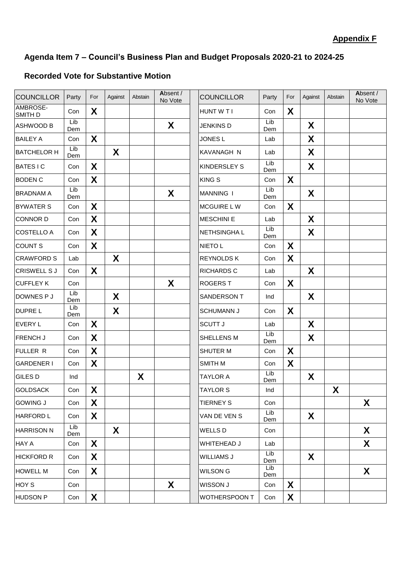## **Recorded Vote for Substantive Motion**

| <b>COUNCILLOR</b>   | Party      | For | Against | Abstain | Absent /<br>No Vote |                      | <b>COUNCILLOR</b>   | Party      | For | Against | Abstain |
|---------------------|------------|-----|---------|---------|---------------------|----------------------|---------------------|------------|-----|---------|---------|
| AMBROSE-<br>SMITH D | Con        | X   |         |         |                     |                      | HUNT W T I          | Con        | X   |         |         |
| <b>ASHWOOD B</b>    | Lib<br>Dem |     |         |         | X                   |                      | <b>JENKINS D</b>    | Lib<br>Dem |     | X       |         |
| <b>BAILEY A</b>     | Con        | X   |         |         |                     |                      | JONES <sub>L</sub>  | Lab        |     | X       |         |
| <b>BATCHELOR H</b>  | Lib<br>Dem |     | X       |         |                     |                      | KAVANAGH N          | Lab        |     | X       |         |
| <b>BATESIC</b>      | Con        | X   |         |         |                     |                      | <b>KINDERSLEY S</b> | Lib<br>Dem |     | X       |         |
| <b>BODEN C</b>      | Con        | X   |         |         |                     |                      | <b>KING S</b>       | Con        | X   |         |         |
| <b>BRADNAM A</b>    | Lib<br>Dem |     |         |         | X                   |                      | <b>MANNING I</b>    | Lib<br>Dem |     | X       |         |
| <b>BYWATER S</b>    | Con        | X   |         |         |                     |                      | <b>MCGUIRE LW</b>   | Con        | X   |         |         |
| <b>CONNOR D</b>     | Con        | X   |         |         |                     |                      | <b>MESCHINI E</b>   | Lab        |     | X       |         |
| <b>COSTELLO A</b>   | Con        | X   |         |         |                     | NETHSINGHA L         |                     | Lib<br>Dem |     | X       |         |
| <b>COUNT S</b>      | Con        | X   |         |         |                     | <b>NIETO L</b>       |                     | Con        | X   |         |         |
| <b>CRAWFORD S</b>   | Lab        |     | X       |         |                     | <b>REYNOLDS K</b>    |                     | Con        | X   |         |         |
| <b>CRISWELL SJ</b>  | Con        | X   |         |         |                     | <b>RICHARDS C</b>    |                     | Lab        |     | X       |         |
| <b>CUFFLEY K</b>    | Con        |     |         |         | X                   | <b>ROGERS T</b>      |                     | Con        | X   |         |         |
| DOWNES P J          | Lib<br>Dem |     | X       |         |                     | SANDERSON T          |                     | Ind        |     | X       |         |
| <b>DUPRE L</b>      | Lib<br>Dem |     | X       |         |                     | <b>SCHUMANN J</b>    |                     | Con        | X   |         |         |
| <b>EVERY L</b>      | Con        | X.  |         |         |                     | <b>SCUTT J</b>       |                     | Lab        |     | X       |         |
| <b>FRENCH J</b>     | Con        | X   |         |         |                     | SHELLENS M           | Lib<br>Dem          |            |     | X       |         |
| <b>FULLER R</b>     | Con        | X   |         |         |                     | SHUTER M             | Con                 |            | X   |         |         |
| <b>GARDENER I</b>   | Con        | X   |         |         |                     | <b>SMITH M</b>       | Con                 |            | X   |         |         |
| <b>GILES D</b>      | Ind        |     |         | X       |                     | <b>TAYLOR A</b>      | Lib<br>Dem          |            |     | X       |         |
| <b>GOLDSACK</b>     | Con        | X   |         |         |                     | <b>TAYLOR S</b>      | Ind                 |            |     |         | X       |
| <b>GOWING J</b>     | Con        | X   |         |         |                     | <b>TIERNEY S</b>     | Con                 |            |     |         |         |
| <b>HARFORD L</b>    | Con        | X   |         |         |                     | VAN DE VEN S         | Lib<br>Dem          |            |     | X       |         |
| <b>HARRISON N</b>   | Lib<br>Dem |     | X       |         |                     | <b>WELLS D</b>       | Con                 |            |     |         |         |
| <b>HAY A</b>        | Con        | X   |         |         |                     | WHITEHEAD J          | Lab                 |            |     |         |         |
| <b>HICKFORD R</b>   | Con        | X   |         |         |                     | <b>WILLIAMS J</b>    | Lib<br>Dem          |            |     | X       |         |
| <b>HOWELL M</b>     | Con        | X   |         |         |                     | <b>WILSON G</b>      | Lib<br>Dem          |            |     |         |         |
| HOY S               | Con        |     |         |         | X                   | WISSON J             | Con                 | X          |     |         |         |
| <b>HUDSON P</b>     | Con        | X.  |         |         |                     | <b>WOTHERSPOON T</b> | Con                 | X.         |     |         |         |